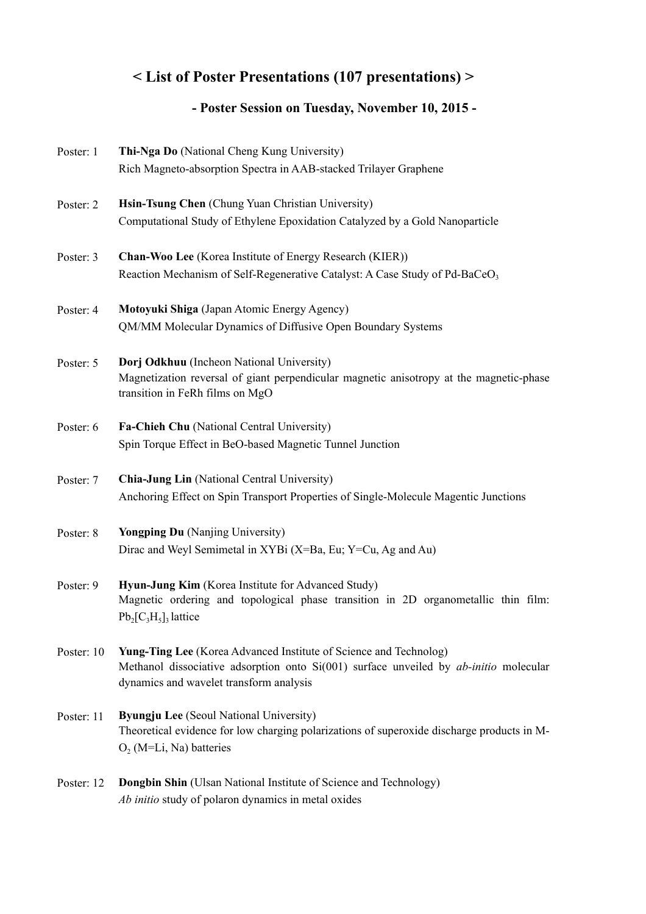## **< List of Poster Presentations (107 presentations) >**

## **- Poster Session on Tuesday, November 10, 2015 -**

| Poster: 1  | Thi-Nga Do (National Cheng Kung University)<br>Rich Magneto-absorption Spectra in AAB-stacked Trilayer Graphene                                                                                                       |
|------------|-----------------------------------------------------------------------------------------------------------------------------------------------------------------------------------------------------------------------|
| Poster: 2  | Hsin-Tsung Chen (Chung Yuan Christian University)<br>Computational Study of Ethylene Epoxidation Catalyzed by a Gold Nanoparticle                                                                                     |
| Poster: 3  | Chan-Woo Lee (Korea Institute of Energy Research (KIER))<br>Reaction Mechanism of Self-Regenerative Catalyst: A Case Study of Pd-BaCeO <sub>3</sub>                                                                   |
| Poster: 4  | Motoyuki Shiga (Japan Atomic Energy Agency)<br>QM/MM Molecular Dynamics of Diffusive Open Boundary Systems                                                                                                            |
| Poster: 5  | Dorj Odkhuu (Incheon National University)<br>Magnetization reversal of giant perpendicular magnetic anisotropy at the magnetic-phase<br>transition in FeRh films on MgO                                               |
| Poster: 6  | Fa-Chieh Chu (National Central University)<br>Spin Torque Effect in BeO-based Magnetic Tunnel Junction                                                                                                                |
| Poster: 7  | Chia-Jung Lin (National Central University)<br>Anchoring Effect on Spin Transport Properties of Single-Molecule Magentic Junctions                                                                                    |
| Poster: 8  | <b>Yongping Du</b> (Nanjing University)<br>Dirac and Weyl Semimetal in XYBi (X=Ba, Eu; Y=Cu, Ag and Au)                                                                                                               |
| Poster: 9  | Hyun-Jung Kim (Korea Institute for Advanced Study)<br>Magnetic ordering and topological phase transition in 2D organometallic thin film:<br>$Pb_2[C_3H_5]_3$ lattice                                                  |
| Poster: 10 | <b>Yung-Ting Lee</b> (Korea Advanced Institute of Science and Technolog)<br>Methanol dissociative adsorption onto $Si(001)$ surface unveiled by <i>ab-initio</i> molecular<br>dynamics and wavelet transform analysis |
| Poster: 11 | <b>Byungju Lee</b> (Seoul National University)<br>Theoretical evidence for low charging polarizations of superoxide discharge products in M-<br>$O_2$ (M=Li, Na) batteries                                            |
| Poster: 12 | <b>Dongbin Shin</b> (Ulsan National Institute of Science and Technology)<br>Ab initio study of polaron dynamics in metal oxides                                                                                       |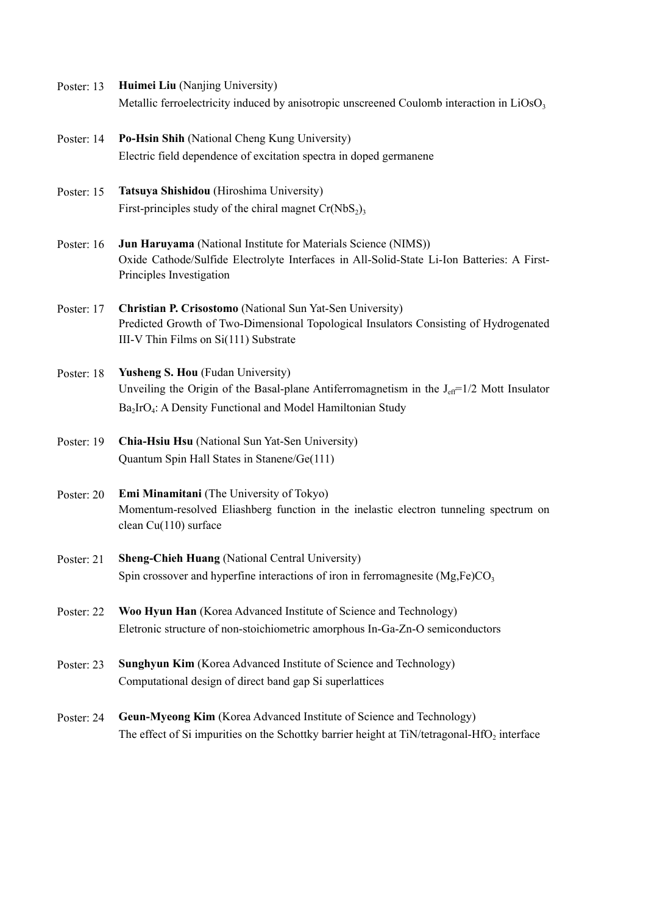- Poster: 13 **Huimei Liu** (Nanjing University) Metallic ferroelectricity induced by anisotropic unscreened Coulomb interaction in  $LiOsO<sub>3</sub>$
- Poster: 14 **Po-Hsin Shih** (National Cheng Kung University) Electric field dependence of excitation spectra in doped germanene
- Poster: 15 **Tatsuya Shishidou** (Hiroshima University) First-principles study of the chiral magnet  $Cr(NbS<sub>2</sub>)$ <sub>3</sub>
- Poster: 16 **Jun Haruyama** (National Institute for Materials Science (NIMS)) Oxide Cathode/Sulfide Electrolyte Interfaces in All-Solid-State Li-Ion Batteries: A First-Principles Investigation
- Poster: 17 **Christian P. Crisostomo** (National Sun Yat-Sen University) Predicted Growth of Two-Dimensional Topological Insulators Consisting of Hydrogenated III-V Thin Films on Si(111) Substrate
- Poster: 18 **Yusheng S. Hou** (Fudan University) Unveiling the Origin of the Basal-plane Antiferromagnetism in the  $J_{\text{eff}}=1/2$  Mott Insulator Ba<sub>2</sub>IrO<sub>4</sub>: A Density Functional and Model Hamiltonian Study
- Poster: 19 **Chia-Hsiu Hsu** (National Sun Yat-Sen University) Quantum Spin Hall States in Stanene/Ge(111)
- Poster: 20 **Emi Minamitani** (The University of Tokyo) Momentum-resolved Eliashberg function in the inelastic electron tunneling spectrum on clean Cu(110) surface
- Poster: 21 **Sheng-Chieh Huang** (National Central University) Spin crossover and hyperfine interactions of iron in ferromagnesite  $(Mg,Fe)CO<sub>3</sub>$
- Poster: 22 **Woo Hyun Han** (Korea Advanced Institute of Science and Technology) Eletronic structure of non-stoichiometric amorphous In-Ga-Zn-O semiconductors
- Poster: 23 **Sunghyun Kim** (Korea Advanced Institute of Science and Technology) Computational design of direct band gap Si superlattices
- Poster: 24 **Geun-Myeong Kim** (Korea Advanced Institute of Science and Technology) The effect of Si impurities on the Schottky barrier height at  $TiN/tetragonal-HfO<sub>2</sub>$  interface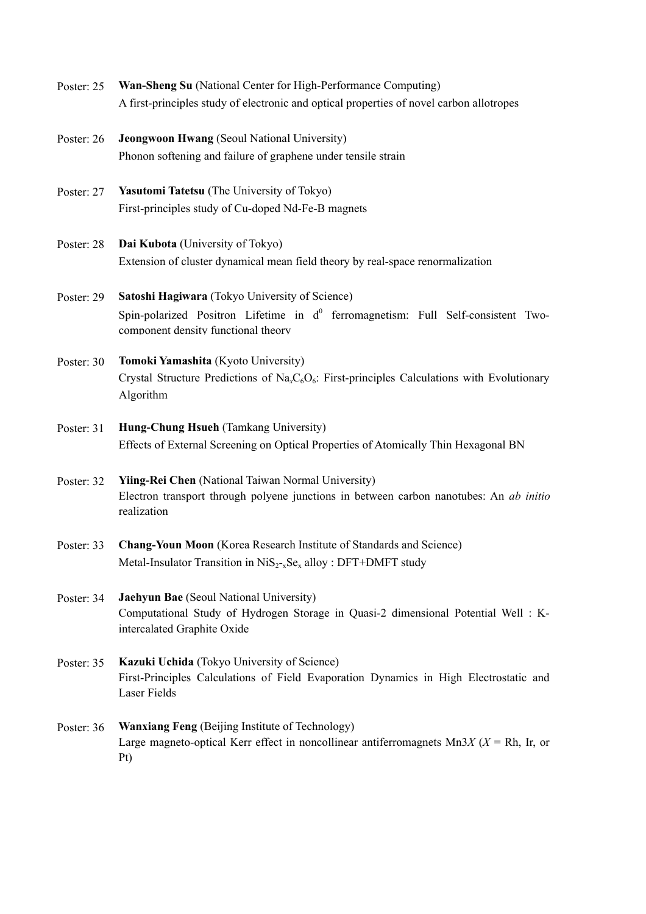- Poster: 25 **Wan-Sheng Su** (National Center for High-Performance Computing) A first-principles study of electronic and optical properties of novel carbon allotropes
- Poster: 26 **Jeongwoon Hwang** (Seoul National University) Phonon softening and failure of graphene under tensile strain
- Poster: 27 **Yasutomi Tatetsu** (The University of Tokyo) First-principles study of Cu-doped Nd-Fe-B magnets
- Poster: 28 **Dai Kubota** (University of Tokyo) Extension of cluster dynamical mean field theory by real-space renormalization
- Poster: 29 **Satoshi Hagiwara** (Tokyo University of Science) Spin-polarized Positron Lifetime in  $d^0$  ferromagnetism: Full Self-consistent Twocomponent density functional theory
- Poster: 30 **Tomoki Yamashita** (Kyoto University) Crystal Structure Predictions of Na<sub>x</sub>C<sub>6</sub>O<sub>6</sub>: First-principles Calculations with Evolutionary Algorithm
- Poster: 31 **Hung-Chung Hsueh** (Tamkang University) Effects of External Screening on Optical Properties of Atomically Thin Hexagonal BN
- Poster: 32 **Yiing-Rei Chen** (National Taiwan Normal University) Electron transport through polyene junctions in between carbon nanotubes: An *ab initio* realization
- Poster: 33 **Chang-Youn Moon** (Korea Research Institute of Standards and Science) Metal-Insulator Transition in  $N_iS_{2-x}Se_x$  alloy : DFT+DMFT study
- Poster: 34 **Jaehyun Bae** (Seoul National University) Computational Study of Hydrogen Storage in Quasi-2 dimensional Potential Well : Kintercalated Graphite Oxide
- Poster: 35 **Kazuki Uchida** (Tokyo University of Science) First-Principles Calculations of Field Evaporation Dynamics in High Electrostatic and Laser Fields
- Poster: 36 **Wanxiang Feng** (Beijing Institute of Technology) Large magneto-optical Kerr effect in noncollinear antiferromagnets  $Mn3X$  ( $X = Rh$ , Ir, or Pt)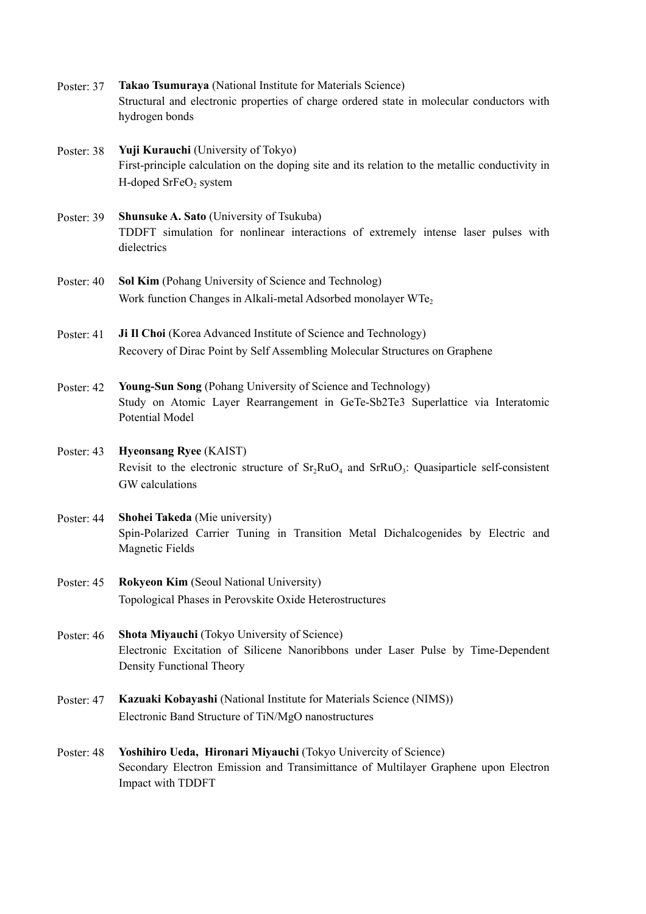- Poster: 37 **Takao Tsumuraya** (National Institute for Materials Science) Structural and electronic properties of charge ordered state in molecular conductors with hydrogen bonds
- Poster: 38 **Yuji Kurauchi** (University of Tokyo) First-principle calculation on the doping site and its relation to the metallic conductivity in H-doped  $S$ r $FeO<sub>2</sub>$  system
- Poster: 39 **Shunsuke A. Sato** (University of Tsukuba) TDDFT simulation for nonlinear interactions of extremely intense laser pulses with dielectrics
- Poster: 40 **Sol Kim** (Pohang University of Science and Technolog) Work function Changes in Alkali-metal Adsorbed monolayer WTe<sub>2</sub>
- Poster: 41 **Ji Il Choi** (Korea Advanced Institute of Science and Technology) Recovery of Dirac Point by Self Assembling Molecular Structures on Graphene
- Poster: 42 **Young-Sun Song** (Pohang University of Science and Technology) Study on Atomic Layer Rearrangement in GeTe-Sb2Te3 Superlattice via Interatomic Potential Model
- Poster: 43 **Hyeonsang Ryee** (KAIST) Revisit to the electronic structure of  $Sr<sub>2</sub>RuO<sub>4</sub>$  and  $SrRuO<sub>3</sub>$ : Quasiparticle self-consistent GW calculations
- Poster: 44 **Shohei Takeda** (Mie university) Spin-Polarized Carrier Tuning in Transition Metal Dichalcogenides by Electric and Magnetic Fields
- Poster: 45 **Rokyeon Kim** (Seoul National University) Topological Phases in Perovskite Oxide Heterostructures
- Poster: 46 **Shota Miyauchi** (Tokyo University of Science) Electronic Excitation of Silicene Nanoribbons under Laser Pulse by Time-Dependent Density Functional Theory
- Poster: 47 **Kazuaki Kobayashi** (National Institute for Materials Science (NIMS)) Electronic Band Structure of TiN/MgO nanostructures
- Poster: 48 **Yoshihiro Ueda, Hironari Miyauchi** (Tokyo Univercity of Science) Secondary Electron Emission and Transimittance of Multilayer Graphene upon Electron Impact with TDDFT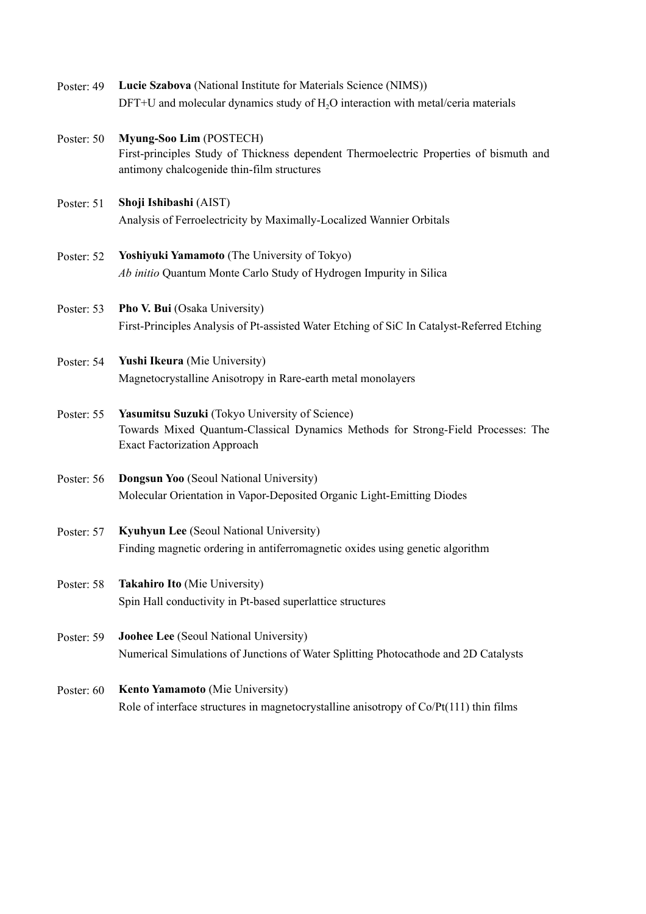- Poster: 49 **Lucie Szabova** (National Institute for Materials Science (NIMS))  $DFT+U$  and molecular dynamics study of  $H<sub>2</sub>O$  interaction with metal/ceria materials
- Poster: 50 **Myung-Soo Lim** (POSTECH) First-principles Study of Thickness dependent Thermoelectric Properties of bismuth and antimony chalcogenide thin-film structures
- Poster: 51 **Shoji Ishibashi** (AIST) Analysis of Ferroelectricity by Maximally-Localized Wannier Orbitals
- Poster: 52 **Yoshiyuki Yamamoto** (The University of Tokyo) *Ab initio* Quantum Monte Carlo Study of Hydrogen Impurity in Silica
- Poster: 53 **Pho V. Bui** (Osaka University) First-Principles Analysis of Pt-assisted Water Etching of SiC In Catalyst-Referred Etching
- Poster: 54 **Yushi Ikeura** (Mie University) Magnetocrystalline Anisotropy in Rare-earth metal monolayers
- Poster: 55 **Yasumitsu Suzuki** (Tokyo University of Science) Towards Mixed Quantum-Classical Dynamics Methods for Strong-Field Processes: The Exact Factorization Approach
- Poster: 56 **Dongsun Yoo** (Seoul National University) Molecular Orientation in Vapor-Deposited Organic Light-Emitting Diodes
- Poster: 57 **Kyuhyun Lee** (Seoul National University) Finding magnetic ordering in antiferromagnetic oxides using genetic algorithm
- Poster: 58 **Takahiro Ito** (Mie University) Spin Hall conductivity in Pt-based superlattice structures
- Poster: 59 **Joohee Lee** (Seoul National University) Numerical Simulations of Junctions of Water Splitting Photocathode and 2D Catalysts
- Poster: 60 **Kento Yamamoto** (Mie University) Role of interface structures in magnetocrystalline anisotropy of Co/Pt(111) thin films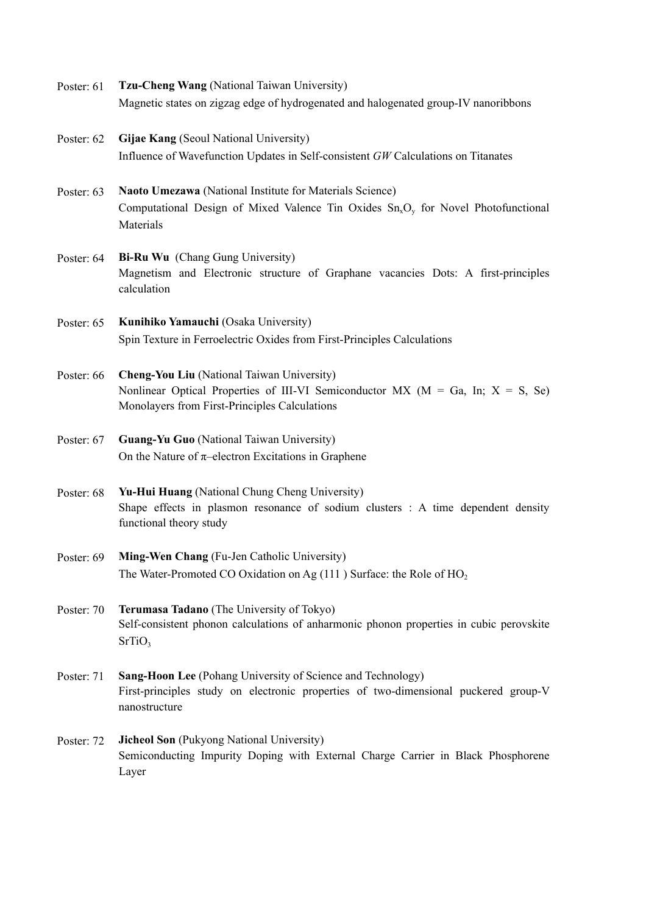- Poster: 61 **Tzu-Cheng Wang** (National Taiwan University) Magnetic states on zigzag edge of hydrogenated and halogenated group-IV nanoribbons
- Poster: 62 **Gijae Kang** (Seoul National University) Influence of Wavefunction Updates in Self-consistent *GW* Calculations on Titanates
- Poster: 63 **Naoto Umezawa** (National Institute for Materials Science) Computational Design of Mixed Valence Tin Oxides  $Sn_xO_y$  for Novel Photofunctional Materials
- Poster: 64 **Bi-Ru Wu** (Chang Gung University) Magnetism and Electronic structure of Graphane vacancies Dots: A first-principles calculation
- Poster: 65 **Kunihiko Yamauchi** (Osaka University) Spin Texture in Ferroelectric Oxides from First-Principles Calculations
- Poster: 66 **Cheng-You Liu** (National Taiwan University) Nonlinear Optical Properties of III-VI Semiconductor MX ( $M = Ga$ , In;  $X = S$ , Se) Monolayers from First-Principles Calculations
- Poster: 67 **Guang-Yu Guo** (National Taiwan University) On the Nature of  $\pi$ –electron Excitations in Graphene
- Poster: 68 **Yu-Hui Huang** (National Chung Cheng University) Shape effects in plasmon resonance of sodium clusters : A time dependent density functional theory study
- Poster: 69 **Ming-Wen Chang** (Fu-Jen Catholic University) The Water-Promoted CO Oxidation on Ag  $(111)$  Surface: the Role of HO<sub>2</sub>
- Poster: 70 **Terumasa Tadano** (The University of Tokyo) Self-consistent phonon calculations of anharmonic phonon properties in cubic perovskite  $SrTiO<sub>3</sub>$
- Poster: 71 **Sang-Hoon Lee** (Pohang University of Science and Technology) First-principles study on electronic properties of two-dimensional puckered group-V nanostructure
- Poster: 72 **Jicheol Son** (Pukyong National University) Semiconducting Impurity Doping with External Charge Carrier in Black Phosphorene Layer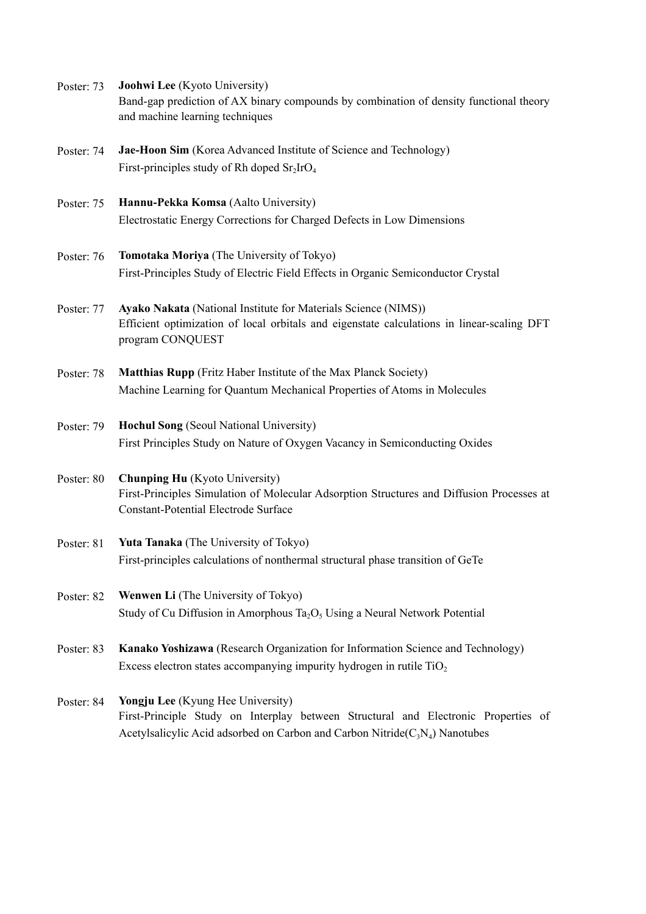- Poster: 73 **Joohwi Lee** (Kyoto University) Band-gap prediction of AX binary compounds by combination of density functional theory and machine learning techniques
- Poster: 74 **Jae-Hoon Sim** (Korea Advanced Institute of Science and Technology) First-principles study of Rh doped  $Sr<sub>2</sub>IrO<sub>4</sub>$
- Poster: 75 **Hannu-Pekka Komsa** (Aalto University) Electrostatic Energy Corrections for Charged Defects in Low Dimensions
- Poster: 76 **Tomotaka Moriya** (The University of Tokyo) First-Principles Study of Electric Field Effects in Organic Semiconductor Crystal
- Poster: 77 **Ayako Nakata** (National Institute for Materials Science (NIMS)) Efficient optimization of local orbitals and eigenstate calculations in linear-scaling DFT program CONQUEST
- Poster: 78 **Matthias Rupp** (Fritz Haber Institute of the Max Planck Society) Machine Learning for Quantum Mechanical Properties of Atoms in Molecules
- Poster: 79 **Hochul Song** (Seoul National University) First Principles Study on Nature of Oxygen Vacancy in Semiconducting Oxides
- Poster: 80 **Chunping Hu** (Kyoto University) First-Principles Simulation of Molecular Adsorption Structures and Diffusion Processes at Constant-Potential Electrode Surface
- Poster: 81 **Yuta Tanaka** (The University of Tokyo) First-principles calculations of nonthermal structural phase transition of GeTe
- Poster: 82 **Wenwen Li** (The University of Tokyo) Study of Cu Diffusion in Amorphous Ta<sub>2</sub>O<sub>5</sub> Using a Neural Network Potential
- Poster: 83 **Kanako Yoshizawa** (Research Organization for Information Science and Technology) Excess electron states accompanying impurity hydrogen in rutile  $TiO<sub>2</sub>$
- Poster: 84 **Yongju Lee** (Kyung Hee University) First-Principle Study on Interplay between Structural and Electronic Properties of Acetylsalicylic Acid adsorbed on Carbon and Carbon Nitride( $C_3N_4$ ) Nanotubes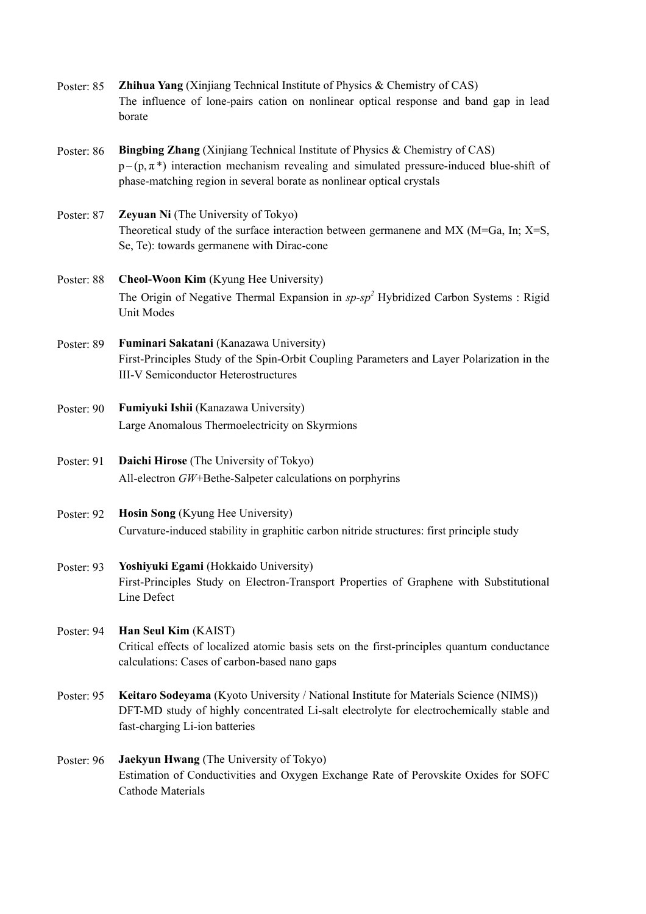- Poster: 85 **Zhihua Yang** (Xinjiang Technical Institute of Physics & Chemistry of CAS) The influence of lone-pairs cation on nonlinear optical response and band gap in lead borate
- Poster: 86 **Bingbing Zhang** (Xinjiang Technical Institute of Physics & Chemistry of CAS)  $p - (p, \pi^*)$  interaction mechanism revealing and simulated pressure-induced blue-shift of phase-matching region in several borate as nonlinear optical crystals
- Poster: 87 **Zeyuan Ni** (The University of Tokyo) Theoretical study of the surface interaction between germanene and MX (M=Ga, In; X=S, Se, Te): towards germanene with Dirac-cone
- Poster: 88 **Cheol-Woon Kim** (Kyung Hee University) The Origin of Negative Thermal Expansion in *sp-sp2* Hybridized Carbon Systems : Rigid Unit Modes
- Poster: 89 **Fuminari Sakatani** (Kanazawa University) First-Principles Study of the Spin-Orbit Coupling Parameters and Layer Polarization in the III-V Semiconductor Heterostructures
- Poster: 90 **Fumiyuki Ishii** (Kanazawa University) Large Anomalous Thermoelectricity on Skyrmions
- Poster: 91 **Daichi Hirose** (The University of Tokyo) All-electron *GW*+Bethe-Salpeter calculations on porphyrins
- Poster: 92 **Hosin Song** (Kyung Hee University) Curvature-induced stability in graphitic carbon nitride structures: first principle study
- Poster: 93 **Yoshiyuki Egami** (Hokkaido University) First-Principles Study on Electron-Transport Properties of Graphene with Substitutional Line Defect
- Poster: 94 **Han Seul Kim** (KAIST) Critical effects of localized atomic basis sets on the first-principles quantum conductance calculations: Cases of carbon-based nano gaps
- Poster: 95 **Keitaro Sodeyama** (Kyoto University / National Institute for Materials Science (NIMS)) DFT-MD study of highly concentrated Li-salt electrolyte for electrochemically stable and fast-charging Li-ion batteries
- Poster: 96 **Jaekyun Hwang** (The University of Tokyo) Estimation of Conductivities and Oxygen Exchange Rate of Perovskite Oxides for SOFC Cathode Materials